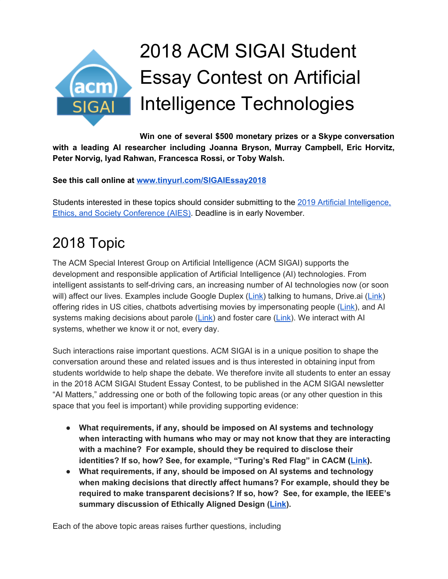

# 2018 ACM SIGAI Student Essay Contest on Artificial Intelligence Technologies

**Win one of several \$500 monetary prizes or a Skype conversation with a leading AI researcher including Joanna Bryson, Murray Campbell, Eric Horvitz, Peter Norvig, Iyad Rahwan, Francesca Rossi, or Toby Walsh.**

**See this call online at [www.tinyurl.com/SIGAIEssay2018](http://www.tinyurl.com/SIGAIEssay2018)**

Students interested in these topics should consider submitting to the 2019 Artificial [Intelligence,](http://www.aies-conference.com/) Ethics, and Society [Conference](http://www.aies-conference.com/) (AIES). Deadline is in early November.

# 2018 Topic

The ACM Special Interest Group on Artificial Intelligence (ACM SIGAI) supports the development and responsible application of Artificial Intelligence (AI) technologies. From intelligent assistants to self-driving cars, an increasing number of AI technologies now (or soon will) affect our lives. Examples include Google Duplex ([Link\)](https://www.theguardian.com/technology/2018/may/08/google-duplex-assistant-phone-calls-robot-human) talking to humans, Drive.ai [\(Link\)](https://medium.com/@andrewng/self-driving-cars-are-here-aea1752b1ad0) offering rides in US cities, chatbots advertising movies by impersonating people ([Link](https://www.theguardian.com/film/2015/mar/16/ex-machina-stunt-sxsw-users-falling-for-robot-tinder)), and AI systems making decisions about parole ([Link\)](https://www.propublica.org/article/machine-bias-risk-assessments-in-criminal-sentencing) and foster care [\(Link\)](https://www.nytimes.com/2018/01/02/magazine/can-an-algorithm-tell-when-kids-are-in-danger.html). We interact with AI systems, whether we know it or not, every day.

Such interactions raise important questions. ACM SIGAI is in a unique position to shape the conversation around these and related issues and is thus interested in obtaining input from students worldwide to help shape the debate. We therefore invite all students to enter an essay in the 2018 ACM SIGAI Student Essay Contest, to be published in the ACM SIGAI newsletter "AI Matters," addressing one or both of the following topic areas (or any other question in this space that you feel is important) while providing supporting evidence:

- **● What requirements, if any, should be imposed on AI systems and technology when interacting with humans who may or may not know that they are interacting with a machine? For example, should they be required to disclose their identities? If so, how? See, for example, "Turing's Red Flag" in CACM [\(Link\)](https://cacm.acm.org/magazines/2016/7/204019-turings-red-flag/abstract).**
- **● What requirements, if any, should be imposed on AI systems and technology when making decisions that directly affect humans? For example, should they be required to make transparent decisions? If so, how? See, for example, the IEEE's summary discussion of Ethically Aligned Design ([Link\)](https://standards.ieee.org/content/dam/ieee-standards/standards/web/documents/other/ead_executive_summary_v2.pdf).**

Each of the above topic areas raises further questions, including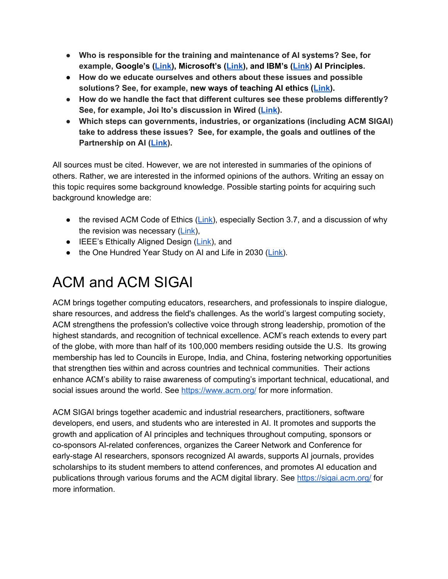- **● Who is responsible for the training and maintenance of AI systems? See, for example, Google's ([Link\)](https://www.blog.google/technology/ai/ai-principles/), Microsoft's ([Link](https://www.microsoft.com/en-us/ai/our-approach-to-ai)), and IBM's [\(Link](https://www.ibm.com/blogs/policy/trust-principles/)) AI Principles.**
- **● How do we educate ourselves and others about these issues and possible solutions? See, for example, new ways of teaching AI ethics ([Link\)](https://cacm.acm.org/magazines/2018/8/229765-how-to-teach-computer-ethics-through-science-fiction/fulltext).**
- **● How do we handle the fact that different cultures see these problems differently? See, for example, Joi Ito's discussion in Wired [\(Link\)](https://www.wired.com/story/ideas-joi-ito-robot-overlords/).**
- **● Which steps can governments, industries, or organizations (including ACM SIGAI) take to address these issues? See, for example, the goals and outlines of the Partnership on AI [\(Link\)](https://www.partnershiponai.org/).**

All sources must be cited. However, we are not interested in summaries of the opinions of others. Rather, we are interested in the informed opinions of the authors. Writing an essay on this topic requires some background knowledge. Possible starting points for acquiring such background knowledge are:

- $\bullet$  the revised ACM Code of Ethics ([Link\)](https://ethics.acm.org/), especially Section 3.7, and a discussion of why the revision was necessary ([Link\)](https://www.scientificamerican.com/article/computer-programmers-get-new-tech-ethics-code/),
- IEEE's Ethically Aligned Design [\(Link\)](http://standards.ieee.org/develop/indconn/ec/ead_v2.pdf), and
- the One Hundred Year Study on AI and Life in 2030 ([Link\)](https://ai100.stanford.edu/sites/default/files/ai_100_report_0831fnl.pdf).

### ACM and ACM SIGAI

ACM brings together computing educators, researchers, and professionals to inspire dialogue, share resources, and address the field's challenges. As the world's largest computing society, ACM strengthens the profession's collective voice through strong leadership, promotion of the highest standards, and recognition of technical excellence. ACM's reach extends to every part of the globe, with more than half of its 100,000 members residing outside the U.S. Its growing membership has led to Councils in Europe, India, and China, fostering networking opportunities that strengthen ties within and across countries and technical communities. Their actions enhance ACM's ability to raise awareness of computing's important technical, educational, and social issues around the world. See <https://www.acm.org/> for more information.

ACM SIGAI brings together academic and industrial researchers, practitioners, software developers, end users, and students who are interested in AI. It promotes and supports the growth and application of AI principles and techniques throughout computing, sponsors or co-sponsors AI-related conferences, organizes the Career Network and Conference for early-stage AI researchers, sponsors recognized AI awards, supports AI journals, provides scholarships to its student members to attend conferences, and promotes AI education and publications through various forums and the ACM digital library. See <https://sigai.acm.org/> for more information.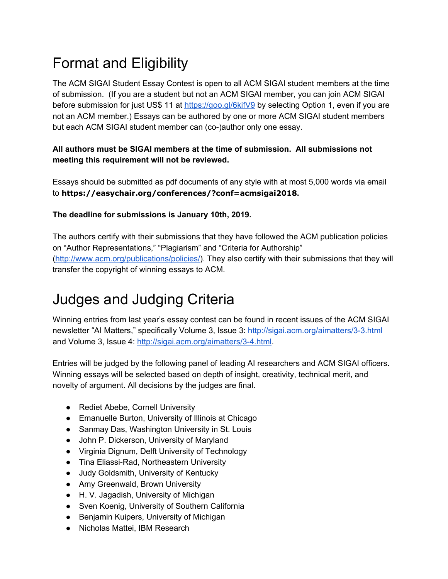# Format and Eligibility

The ACM SIGAI Student Essay Contest is open to all ACM SIGAI student members at the time of submission. (If you are a student but not an ACM SIGAI member, you can join ACM SIGAI before submission for just US\$ 11 at <https://goo.gl/6kifV9> by selecting Option 1, even if you are not an ACM member.) Essays can be authored by one or more ACM SIGAI student members but each ACM SIGAI student member can (co-)author only one essay.

#### **All authors must be SIGAI members at the time of submission. All submissions not meeting this requirement will not be reviewed.**

Essays should be submitted as pdf documents of any style with at most 5,000 words via email to **https://easychair.org/conferences/?conf=acmsigai2018.**

#### **The deadline for submissions is January 10th, 2019.**

The authors certify with their submissions that they have followed the ACM publication policies on "Author Representations," "Plagiarism" and "Criteria for Authorship" ([http://www.acm.org/publications/policies/\)](http://www.acm.org/publications/policies/). They also certify with their submissions that they will transfer the copyright of winning essays to ACM.

### Judges and Judging Criteria

Winning entries from last year's essay contest can be found in recent issues of the ACM SIGAI newsletter "AI Matters," specifically Volume 3, Issue 3: <http://sigai.acm.org/aimatters/3-3.html> and Volume 3, Issue 4: <http://sigai.acm.org/aimatters/3-4.html>.

Entries will be judged by the following panel of leading AI researchers and ACM SIGAI officers. Winning essays will be selected based on depth of insight, creativity, technical merit, and novelty of argument. All decisions by the judges are final.

- Rediet Abebe, Cornell University
- Emanuelle Burton, University of Illinois at Chicago
- Sanmay Das, Washington University in St. Louis
- John P. Dickerson, University of Maryland
- Virginia Dignum, Delft University of Technology
- Tina Eliassi-Rad, Northeastern University
- Judy Goldsmith, University of Kentucky
- Amy Greenwald, Brown University
- H. V. Jagadish, University of Michigan
- Sven Koenig, University of Southern California
- Benjamin Kuipers, University of Michigan
- Nicholas Mattei, IBM Research